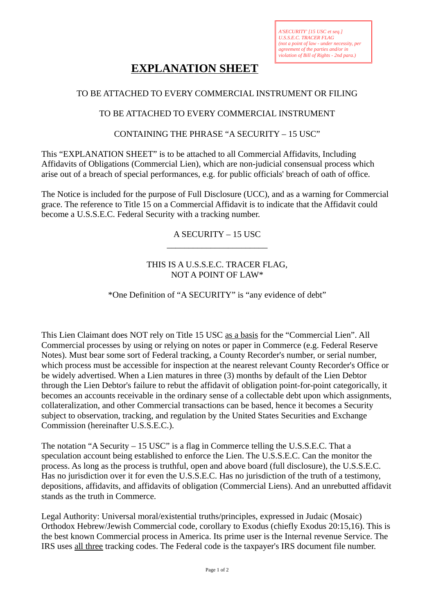# **EXPLANATION SHEET**

## TO BE ATTACHED TO EVERY COMMERCIAL INSTRUMENT OR FILING

# TO BE ATTACHED TO EVERY COMMERCIAL INSTRUMENT

#### CONTAINING THE PHRASE "A SECURITY – 15 USC"

This "EXPLANATION SHEET" is to be attached to all Commercial Affidavits, Including Affidavits of Obligations (Commercial Lien), which are non-judicial consensual process which arise out of a breach of special performances, e.g. for public officials' breach of oath of office.

The Notice is included for the purpose of Full Disclosure (UCC), and as a warning for Commercial grace. The reference to Title 15 on a Commercial Affidavit is to indicate that the Affidavit could become a U.S.S.E.C. Federal Security with a tracking number.

> A SECURITY – 15 USC \_\_\_\_\_\_\_\_\_\_\_\_\_\_\_\_\_\_\_\_\_\_\_

# THIS IS A U.S.S.E.C. TRACER FLAG, NOT A POINT OF LAW\*

## \*One Definition of "A SECURITY" is "any evidence of debt"

This Lien Claimant does NOT rely on Title 15 USC as a basis for the "Commercial Lien". All Commercial processes by using or relying on notes or paper in Commerce (e.g. Federal Reserve Notes). Must bear some sort of Federal tracking, a County Recorder's number, or serial number, which process must be accessible for inspection at the nearest relevant County Recorder's Office or be widely advertised. When a Lien matures in three (3) months by default of the Lien Debtor through the Lien Debtor's failure to rebut the affidavit of obligation point-for-point categorically, it becomes an accounts receivable in the ordinary sense of a collectable debt upon which assignments, collateralization, and other Commercial transactions can be based, hence it becomes a Security subject to observation, tracking, and regulation by the United States Securities and Exchange Commission (hereinafter U.S.S.E.C.).

The notation "A Security – 15 USC" is a flag in Commerce telling the U.S.S.E.C. That a speculation account being established to enforce the Lien. The U.S.S.E.C. Can the monitor the process. As long as the process is truthful, open and above board (full disclosure), the U.S.S.E.C. Has no jurisdiction over it for even the U.S.S.E.C. Has no jurisdiction of the truth of a testimony, depositions, affidavits, and affidavits of obligation (Commercial Liens). And an unrebutted affidavit stands as the truth in Commerce.

Legal Authority: Universal moral/existential truths/principles, expressed in Judaic (Mosaic) Orthodox Hebrew/Jewish Commercial code, corollary to Exodus (chiefly Exodus 20:15,16). This is the best known Commercial process in America. Its prime user is the Internal revenue Service. The IRS uses all three tracking codes. The Federal code is the taxpayer's IRS document file number.